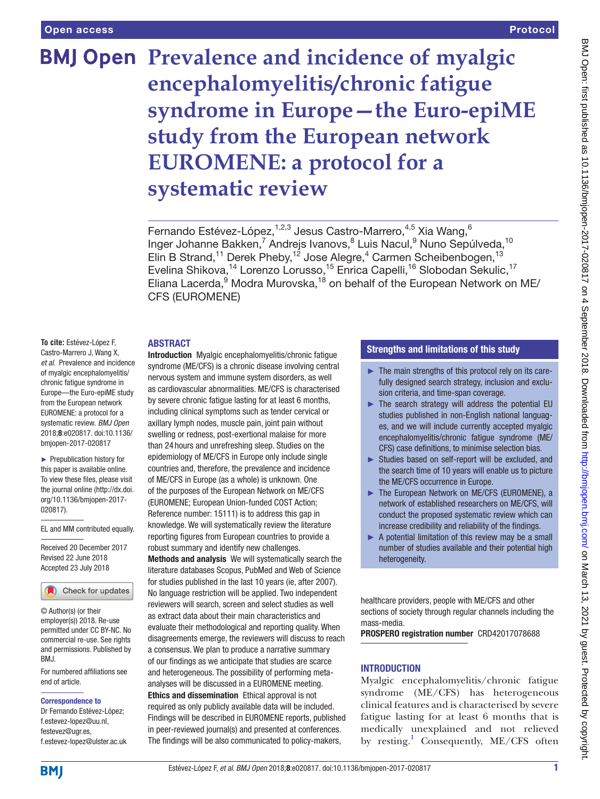# **BMJ Open Prevalence and incidence of myalgic encephalomyelitis/chronic fatigue syndrome in Europe—the Euro-epiME study from the European network EUROMENE: a protocol for a systematic review**

Fernando Estévez-López,<sup>1,2,3</sup> Jesus Castro-Marrero,<sup>4,5</sup> Xia Wang,<sup>6</sup> Inger Johanne Bakken,<sup>7</sup> Andrejs Ivanovs,<sup>8</sup> Luis Nacul,<sup>9</sup> Nuno Sepúlveda,<sup>10</sup> Elin B Strand,<sup>11</sup> Derek Pheby,<sup>12</sup> Jose Alegre,<sup>4</sup> Carmen Scheibenbogen,<sup>13</sup> Evelina Shikova,<sup>14</sup> Lorenzo Lorusso,<sup>15</sup> Enrica Capelli,<sup>16</sup> Slobodan Sekulic,<sup>17</sup> Eliana Lacerda,<sup>9</sup> Modra Murovska,<sup>18</sup> on behalf of the European Network on ME/ CFS (EUROMENE)

#### **ABSTRACT**

**To cite:** Estévez-López F, Castro-Marrero J, Wang X, *et al*. Prevalence and incidence of myalgic encephalomyelitis/ chronic fatigue syndrome in Europe—the Euro-epiME study from the European network EUROMENE: a protocol for a systematic review. *BMJ Open* 2018;8:e020817. doi:10.1136/ bmjopen-2017-020817

► Prepublication history for this paper is available online. To view these files, please visit the journal online [\(http://dx.doi.](http://dx.doi.org/10.1136/bmjopen-2017-020817) [org/10.1136/bmjopen-2017-](http://dx.doi.org/10.1136/bmjopen-2017-020817) [020817\)](http://dx.doi.org/10.1136/bmjopen-2017-020817).

EL and MM contributed equally.

Received 20 December 2017 Revised 22 June 2018 Accepted 23 July 2018



© Author(s) (or their employer(s)) 2018. Re-use permitted under CC BY-NC. No commercial re-use. See rights and permissions. Published by RM<sub>J</sub>

For numbered affiliations see end of article.

#### Correspondence to

Dr Fernando Estévez-López; f.estevez-lopez@uu.nl, festevez@ugr.es, f.estevez-lopez@ulster.ac.uk Introduction Myalgic encephalomyelitis/chronic fatigue syndrome (ME/CFS) is a chronic disease involving central nervous system and immune system disorders, as well as cardiovascular abnormalities. ME/CFS is characterised by severe chronic fatigue lasting for at least 6 months, including clinical symptoms such as tender cervical or axillary lymph nodes, muscle pain, joint pain without swelling or redness, post-exertional malaise for more than 24 hours and unrefreshing sleep. Studies on the epidemiology of ME/CFS in Europe only include single countries and, therefore, the prevalence and incidence of ME/CFS in Europe (as a whole) is unknown. One of the purposes of the European Network on ME/CFS (EUROMENE; European Union-funded COST Action; Reference number: 15111) is to address this gap in knowledge. We will systematically review the literature reporting figures from European countries to provide a robust summary and identify new challenges. Methods and analysis We will systematically search the literature databases Scopus, PubMed and Web of Science for studies published in the last 10 years (ie, after 2007). No language restriction will be applied. Two independent reviewers will search, screen and select studies as well as extract data about their main characteristics and evaluate their methodological and reporting quality. When disagreements emerge, the reviewers will discuss to reach a consensus. We plan to produce a narrative summary of our findings as we anticipate that studies are scarce and heterogeneous. The possibility of performing metaanalyses will be discussed in a EUROMENE meeting. Ethics and dissemination Ethical approval is not

required as only publicly available data will be included. Findings will be described in EUROMENE reports, published in peer-reviewed journal(s) and presented at conferences. The findings will be also communicated to policy-makers,

#### Strengths and limitations of this study

- ► The main strengths of this protocol rely on its carefully designed search strategy, inclusion and exclusion criteria, and time-span coverage.
- $\blacktriangleright$  The search strategy will address the potential EU studies published in non-English national languages, and we will include currently accepted myalgic encephalomyelitis/chronic fatigue syndrome (ME/ CFS) case definitions, to minimise selection bias.
- ► Studies based on self-report will be excluded, and the search time of 10 years will enable us to picture the ME/CFS occurrence in Europe.
- ► The European Network on ME/CFS (EUROMENE), a network of established researchers on ME/CFS, will conduct the proposed systematic review which can increase credibility and reliability of the findings.
- ► A potential limitation of this review may be a small number of studies available and their potential high heterogeneity.

healthcare providers, people with ME/CFS and other sections of society through regular channels including the mass-media.

PROSPERO registration number CRD42017078688

## **INTRODUCTION**

Myalgic encephalomyelitis/chronic fatigue syndrome (ME/CFS) has heterogeneous clinical features and is characterised by severe fatigue lasting for at least 6 months that is medically unexplained and not relieved by resting.<sup>[1](#page-4-0)</sup> Consequently, ME/CFS often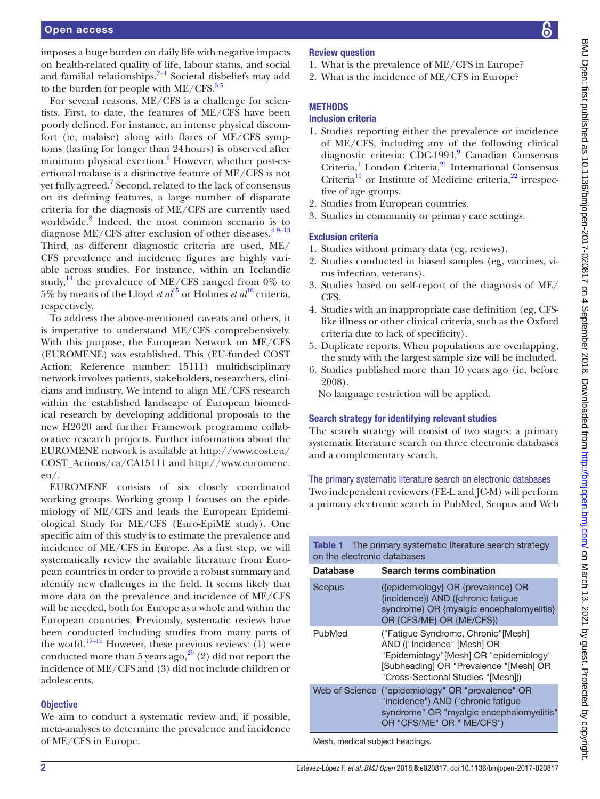imposes a huge burden on daily life with negative impacts on health-related quality of life, labour status, and social and familial relationships. $2-4$  Societal disbeliefs may add to the burden for people with  $ME/CFS$ .<sup>35</sup>

For several reasons, ME/CFS is a challenge for scientists. First, to date, the features of ME/CFS have been poorly defined. For instance, an intense physical discomfort (ie, malaise) along with flares of ME/CFS symptoms (lasting for longer than 24hours) is observed after minimum physical exertion.<sup>[6](#page-4-3)</sup> However, whether post-exertional malaise is a distinctive feature of ME/CFS is not yet fully agreed.<sup>[7](#page-4-4)</sup> Second, related to the lack of consensus on its defining features, a large number of disparate criteria for the diagnosis of ME/CFS are currently used worldwide.[8](#page-4-5) Indeed, the most common scenario is to diagnose ME/CFS after exclusion of other diseases.<sup>49-13</sup> Third, as different diagnostic criteria are used, ME/ CFS prevalence and incidence figures are highly variable across studies. For instance, within an Icelandic study,<sup>[14](#page-4-7)</sup> the prevalence of ME/CFS ranged from  $0\%$  to 5% by means of the Lloyd *et al*<sup>[15](#page-4-8)</sup> or Holmes *et al*<sup>16</sup> criteria, respectively.

To address the above-mentioned caveats and others, it is imperative to understand ME/CFS comprehensively. With this purpose, the European Network on ME/CFS (EUROMENE) was established. This (EU-funded COST Action; Reference number: 15111) multidisciplinary network involves patients, stakeholders, researchers, clinicians and industry. We intend to align ME/CFS research within the established landscape of European biomedical research by developing additional proposals to the new H2020 and further Framework programme collaborative research projects. Further information about the EUROMENE network is available at [http://www.cost.eu/](http://www.cost.eu/COST_Actions/ca/CA15111) [COST\\_Actions/ca/CA15111](http://www.cost.eu/COST_Actions/ca/CA15111) and [http://www.euromene.](http://www.euromene.eu/) [eu/](http://www.euromene.eu/).

EUROMENE consists of six closely coordinated working groups. Working group 1 focuses on the epidemiology of ME/CFS and leads the European Epidemiological Study for ME/CFS (Euro-EpiME study). One specific aim of this study is to estimate the prevalence and incidence of ME/CFS in Europe. As a first step, we will systematically review the available literature from European countries in order to provide a robust summary and identify new challenges in the field. It seems likely that more data on the prevalence and incidence of ME/CFS will be needed, both for Europe as a whole and within the European countries. Previously, systematic reviews have been conducted including studies from many parts of the world.<sup>[17–19](#page-4-10)</sup> However, these previous reviews:  $(1)$  were conducted more than 5 years ago, $2^{0}$  (2) did not report the incidence of ME/CFS and (3) did not include children or adolescents.

## **Objective**

We aim to conduct a systematic review and, if possible, meta-analyses to determine the prevalence and incidence of ME/CFS in Europe.

## Review question

- 1. What is the prevalence of ME/CFS in Europe?
- 2. What is the incidence of ME/CFS in Europe?

# **METHODS**

## Inclusion criteria

- 1. Studies reporting either the prevalence or incidence of ME/CFS, including any of the following clinical diagnostic criteria: CDC-1[9](#page-4-12)94,<sup>9</sup> Canadian Consensus Criteria,<sup>[1](#page-4-0)</sup> London Criteria,<sup>21</sup> International Consensus Criteria $^{10}$  $^{10}$  $^{10}$  or Institute of Medicine criteria, $^{22}$  irrespective of age groups.
- 2. Studies from European countries.
- 3. Studies in community or primary care settings.

## Exclusion criteria

- 1. Studies without primary data (eg, reviews).
- 2. Studies conducted in biased samples (eg, vaccines, virus infection, veterans).
- 3. Studies based on self-report of the diagnosis of ME/ CFS.
- 4. Studies with an inappropriate case definition (eg, CFSlike illness or other clinical criteria, such as the Oxford criteria due to lack of specificity).
- 5. Duplicate reports. When populations are overlapping, the study with the largest sample size will be included.
- 6. Studies published more than 10 years ago (ie, before 2008).

No language restriction will be applied.

# Search strategy for identifying relevant studies

The search strategy will consist of two stages: a primary systematic literature search on three electronic databases and a complementary search.

# The primary systematic literature search on electronic databases

Two independent reviewers (FE-L and JC-M) will perform a primary electronic search in PubMed, Scopus and Web

<span id="page-1-0"></span>

| <b>Table 1</b> The primary systematic literature search strategy<br>on the electronic databases |                                                                                                                                                                                             |
|-------------------------------------------------------------------------------------------------|---------------------------------------------------------------------------------------------------------------------------------------------------------------------------------------------|
| <b>Database</b>                                                                                 | Search terms combination                                                                                                                                                                    |
| Scopus                                                                                          | ({epidemiology} OR {prevalence} OR<br>{incidence}) AND ({chronic fatigue<br>syndrome} OR {myalgic encephalomyelitis}<br>OR {CFS/ME} OR {ME/CFS})                                            |
| PubMed                                                                                          | ("Fatigue Syndrome, Chronic"[Mesh]<br>AND (("Incidence" [Mesh] OR<br>"Epidemiology"[Mesh] OR "epidemiology"<br>[Subheading] OR "Prevalence "[Mesh] OR<br>"Cross-Sectional Studies "[Mesh])) |
| Web of Science                                                                                  | ("epidemiology" OR "prevalence" OR<br>"incidence") AND ("chronic fatigue<br>syndrome" OR "myalgic encephalomyelitis"<br>OR "CFS/ME" OR " ME/CFS")                                           |

Mesh, medical subject headings.

6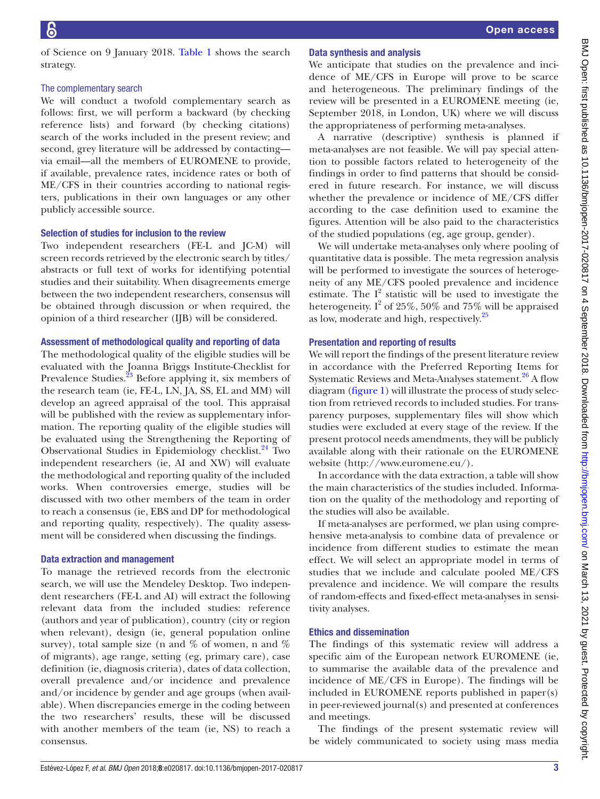of Science on 9 January 2018. [Table](#page-1-0) 1 shows the search strategy.

#### The complementary search

We will conduct a twofold complementary search as follows: first, we will perform a backward (by checking reference lists) and forward (by checking citations) search of the works included in the present review; and second, grey literature will be addressed by contacting via email—all the members of EUROMENE to provide, if available, prevalence rates, incidence rates or both of ME/CFS in their countries according to national registers, publications in their own languages or any other publicly accessible source.

#### Selection of studies for inclusion to the review

Two independent researchers (FE-L and JC-M) will screen records retrieved by the electronic search by titles/ abstracts or full text of works for identifying potential studies and their suitability. When disagreements emerge between the two independent researchers, consensus will be obtained through discussion or when required, the opinion of a third researcher (IJB) will be considered.

## Assessment of methodological quality and reporting of data

The methodological quality of the eligible studies will be evaluated with the Joanna Briggs Institute-Checklist for Prevalence Studies[.23](#page-4-16) Before applying it, six members of the research team (ie, FE-L, LN, JA, SS, EL and MM) will develop an agreed appraisal of the tool. This appraisal will be published with the review as supplementary information. The reporting quality of the eligible studies will be evaluated using the Strengthening the Reporting of Observational Studies in Epidemiology checklist.<sup>24</sup> Two independent researchers (ie, AI and XW) will evaluate the methodological and reporting quality of the included works. When controversies emerge, studies will be discussed with two other members of the team in order to reach a consensus (ie, EBS and DP for methodological and reporting quality, respectively). The quality assessment will be considered when discussing the findings.

## Data extraction and management

To manage the retrieved records from the electronic search, we will use the Mendeley Desktop. Two independent researchers (FE-L and AI) will extract the following relevant data from the included studies: reference (authors and year of publication), country (city or region when relevant), design (ie, general population online survey), total sample size (n and  $\%$  of women, n and  $\%$ of migrants), age range, setting (eg, primary care), case definition (ie, diagnosis criteria), dates of data collection, overall prevalence and/or incidence and prevalence and/or incidence by gender and age groups (when available). When discrepancies emerge in the coding between the two researchers' results, these will be discussed with another members of the team (ie, NS) to reach a consensus.

## Data synthesis and analysis

We anticipate that studies on the prevalence and incidence of ME/CFS in Europe will prove to be scarce and heterogeneous. The preliminary findings of the review will be presented in a EUROMENE meeting (ie, September 2018, in London, UK) where we will discuss the appropriateness of performing meta-analyses.

A narrative (descriptive) synthesis is planned if meta-analyses are not feasible. We will pay special attention to possible factors related to heterogeneity of the findings in order to find patterns that should be considered in future research. For instance, we will discuss whether the prevalence or incidence of ME/CFS differ according to the case definition used to examine the figures. Attention will be also paid to the characteristics of the studied populations (eg, age group, gender).

We will undertake meta-analyses only where pooling of quantitative data is possible. The meta regression analysis will be performed to investigate the sources of heterogeneity of any ME/CFS pooled prevalence and incidence estimate. The  $I^2$  statistic will be used to investigate the heterogeneity. I<sup>2</sup> of 25%, 50% and 75% will be appraised as low, moderate and high, respectively.<sup>25</sup>

## Presentation and reporting of results

We will report the findings of the present literature review in accordance with the Preferred Reporting Items for Systematic Reviews and Meta-Analyses statement.<sup>26</sup> A flow diagram [\(figure](#page-3-0) 1) will illustrate the process of study selection from retrieved records to included studies. For transparency purposes, supplementary files will show which studies were excluded at every stage of the review. If the present protocol needs amendments, they will be publicly available along with their rationale on the EUROMENE website [\(http://www.euromene.eu/\).](http://www.euromene.eu/)

In accordance with the data extraction, a table will show the main characteristics of the studies included. Information on the quality of the methodology and reporting of the studies will also be available.

If meta-analyses are performed, we plan using comprehensive meta-analysis to combine data of prevalence or incidence from different studies to estimate the mean effect. We will select an appropriate model in terms of studies that we include and calculate pooled ME/CFS prevalence and incidence. We will compare the results of random-effects and fixed-effect meta-analyses in sensitivity analyses.

## Ethics and dissemination

The findings of this systematic review will address a specific aim of the European network EUROMENE (ie, to summarise the available data of the prevalence and incidence of ME/CFS in Europe). The findings will be included in EUROMENE reports published in paper(s) in peer-reviewed journal(s) and presented at conferences and meetings.

The findings of the present systematic review will be widely communicated to society using mass media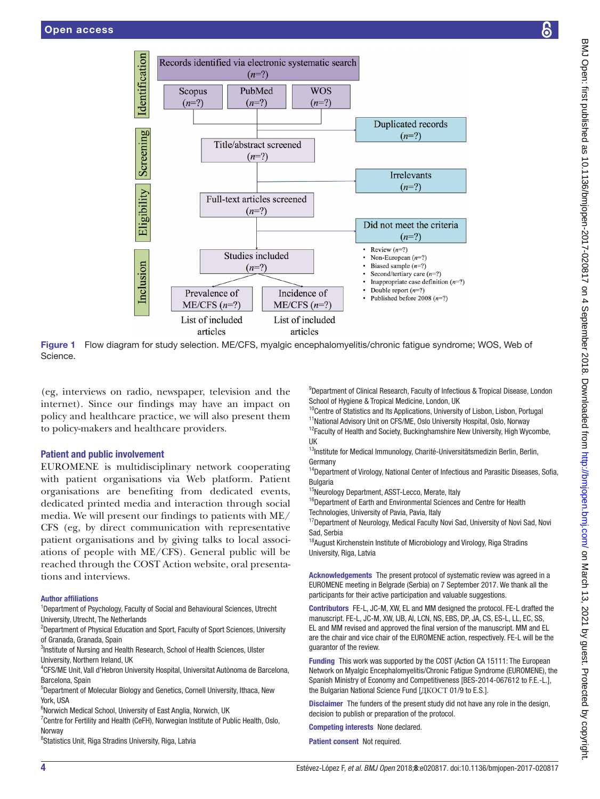

Figure 1 Flow diagram for study selection. ME/CFS, myalgic encephalomyelitis/chronic fatigue syndrome; WOS, Web of Science.

(eg, interviews on radio, newspaper, television and the internet). Since our findings may have an impact on policy and healthcare practice, we will also present them to policy-makers and healthcare providers.

## Patient and public involvement

EUROMENE is multidisciplinary network cooperating with patient organisations via Web platform. Patient organisations are benefiting from dedicated events, dedicated printed media and interaction through social media. We will present our findings to patients with ME/ CFS (eg, by direct communication with representative patient organisations and by giving talks to local associations of people with ME/CFS). General public will be reached through the COST Action website, oral presentations and interviews.

#### Author affiliations

<sup>1</sup>Department of Psychology, Faculty of Social and Behavioural Sciences, Utrecht University, Utrecht, The Netherlands

<sup>2</sup>Department of Physical Education and Sport, Faculty of Sport Sciences, University of Granada, Granada, Spain

<sup>3</sup>Institute of Nursing and Health Research, School of Health Sciences, Ulster University, Northern Ireland, UK

4 CFS/ME Unit, Vall d'Hebron University Hospital, Universitat Autònoma de Barcelona, Barcelona, Spain

5 Department of Molecular Biology and Genetics, Cornell University, Ithaca, New York, USA

<sup>6</sup>Norwich Medical School, University of East Anglia, Norwich, UK

<sup>7</sup> Centre for Fertility and Health (CeFH), Norwegian Institute of Public Health, Oslo, Norway

<sup>8</sup>Statistics Unit, Riga Stradins University, Riga, Latvia

<span id="page-3-0"></span><sup>9</sup>Department of Clinical Research, Faculty of Infectious & Tropical Disease, London School of Hygiene & Tropical Medicine, London, UK

<sup>10</sup>Centre of Statistics and Its Applications, University of Lisbon, Lisbon, Portugal <sup>11</sup>National Advisory Unit on CFS/ME, Oslo University Hospital, Oslo, Norway

<sup>12</sup>Faculty of Health and Society, Buckinghamshire New University, High Wycombe, UK

 $^{13}$ Institute for Medical Immunology, Charité-Universitätsmedizin Berlin, Berlin, Germany

<sup>14</sup>Department of Virology, National Center of Infectious and Parasitic Diseases, Sofia, Bulgaria

<sup>15</sup>Neurology Department, ASST-Lecco, Merate, Italy

<sup>16</sup>Department of Earth and Environmental Sciences and Centre for Health Technologies, University of Pavia, Pavia, Italy

<sup>17</sup>Department of Neurology, Medical Faculty Novi Sad, University of Novi Sad, Novi Sad, Serbia

<sup>18</sup> August Kirchenstein Institute of Microbiology and Virology, Riga Stradins University, Riga, Latvia

Acknowledgements The present protocol of systematic review was agreed in a EUROMENE meeting in Belgrade (Serbia) on 7 September 2017. We thank all the participants for their active participation and valuable suggestions.

Contributors FE-L, JC-M, XW, EL and MM designed the protocol. FE-L drafted the manuscript. FE-L, JC-M, XW, IJB, AI, LCN, NS, EBS, DP, JA, CS, ES-L, LL, EC, SS, EL and MM revised and approved the final version of the manuscript. MM and EL are the chair and vice chair of the EUROMENE action, respectively. FE-L will be the guarantor of the review.

Funding This work was supported by the COST (Action CA 15111: The European Network on Myalgic Encephalomyelitis/Chronic Fatigue Syndrome (EUROMENE), the Spanish Ministry of Economy and Competitiveness [BES-2014-067612 to F.E.-L.], the Bulgarian National Science Fund [ДКОСТ 01/9 to E.S.].

Disclaimer The funders of the present study did not have any role in the design, decision to publish or preparation of the protocol.

Competing interests None declared.

Patient consent Not required.